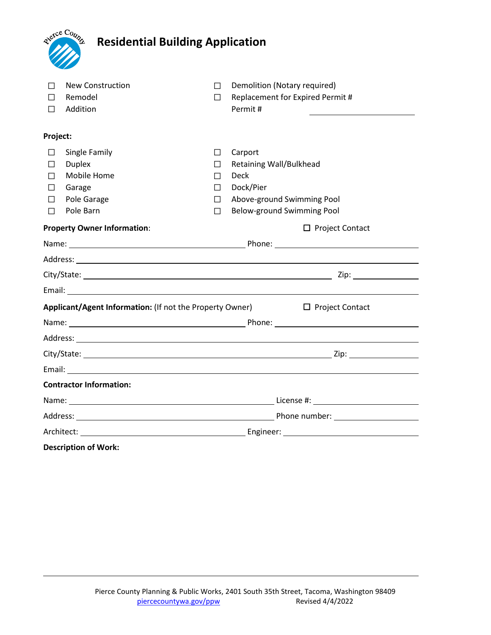|                                    | gierce County<br><b>Residential Building Application</b> |        |                                             |
|------------------------------------|----------------------------------------------------------|--------|---------------------------------------------|
| ш                                  | <b>New Construction</b>                                  | П      | Demolition (Notary required)                |
| $\Box$                             | Remodel<br>Addition                                      | П      | Replacement for Expired Permit #<br>Permit# |
| Project:                           |                                                          |        |                                             |
| П                                  | Single Family                                            | $\Box$ | Carport                                     |
| П                                  | <b>Duplex</b>                                            | $\Box$ | <b>Retaining Wall/Bulkhead</b>              |
|                                    | Mobile Home                                              | $\Box$ | <b>Deck</b>                                 |
| П                                  | Garage                                                   | $\Box$ | Dock/Pier                                   |
| П                                  | Pole Garage                                              | $\Box$ | Above-ground Swimming Pool                  |
| П                                  | Pole Barn                                                | $\Box$ | Below-ground Swimming Pool                  |
| <b>Property Owner Information:</b> |                                                          |        | $\Box$ Project Contact                      |
|                                    |                                                          |        |                                             |
|                                    |                                                          |        |                                             |
|                                    |                                                          |        |                                             |
|                                    |                                                          |        |                                             |
|                                    | Applicant/Agent Information: (If not the Property Owner) |        | $\Box$ Project Contact                      |
|                                    |                                                          |        |                                             |
|                                    |                                                          |        |                                             |
|                                    |                                                          |        |                                             |
|                                    |                                                          |        |                                             |
|                                    | <b>Contractor Information:</b>                           |        |                                             |
|                                    |                                                          |        |                                             |
|                                    |                                                          |        |                                             |
|                                    |                                                          |        |                                             |
|                                    | <b>Description of Work:</b>                              |        |                                             |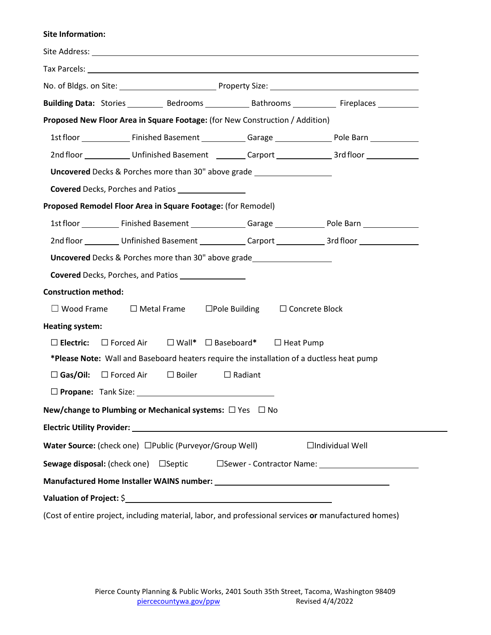#### **Site Information:**

|                                                                                                      |                                                               |                | Building Data: Stories __________ Bedrooms ____________ Bathrooms _____________ Fireplaces __________                       |
|------------------------------------------------------------------------------------------------------|---------------------------------------------------------------|----------------|-----------------------------------------------------------------------------------------------------------------------------|
| Proposed New Floor Area in Square Footage: (for New Construction / Addition)                         |                                                               |                |                                                                                                                             |
|                                                                                                      |                                                               |                | 1st floor [10] [10] [11] Finished Basement [10] [10] Garage [10] [20] Pole Barn [10] [10] Pole Barn [10] [10] $\frac{1}{2}$ |
|                                                                                                      |                                                               |                | 2nd floor ______________Unfinished Basement __________Carport ________________3rd floor ____________                        |
| Uncovered Decks & Porches more than 30" above grade ____________________________                     |                                                               |                |                                                                                                                             |
|                                                                                                      |                                                               |                |                                                                                                                             |
| Proposed Remodel Floor Area in Square Footage: (for Remodel)                                         |                                                               |                |                                                                                                                             |
|                                                                                                      |                                                               |                |                                                                                                                             |
|                                                                                                      |                                                               |                | 2nd floor ___________Unfinished Basement _____________Carport ______________3rd floor ______________                        |
| Uncovered Decks & Porches more than 30" above grade_____________________________                     |                                                               |                |                                                                                                                             |
| <b>Covered</b> Decks, Porches, and Patios                                                            |                                                               |                |                                                                                                                             |
| <b>Construction method:</b>                                                                          |                                                               |                |                                                                                                                             |
| $\Box$ Wood Frame                                                                                    | $\Box$ Metal Frame $\Box$ Pole Building $\Box$ Concrete Block |                |                                                                                                                             |
| <b>Heating system:</b>                                                                               |                                                               |                |                                                                                                                             |
| $\Box$ Electric: $\Box$ Forced Air $\Box$ Wall* $\Box$ Baseboard* $\Box$ Heat Pump                   |                                                               |                |                                                                                                                             |
| *Please Note: Wall and Baseboard heaters require the installation of a ductless heat pump            |                                                               |                |                                                                                                                             |
| $\square$ Gas/Oil:<br>$\Box$ Forced Air                                                              | $\square$ Boiler                                              | $\Box$ Radiant |                                                                                                                             |
|                                                                                                      |                                                               |                |                                                                                                                             |
| New/change to Plumbing or Mechanical systems: □ Yes □ No                                             |                                                               |                |                                                                                                                             |
|                                                                                                      |                                                               |                |                                                                                                                             |
| Water Source: (check one) □Public (Purveyor/Group Well)                                              |                                                               |                | $\Box$ Individual Well                                                                                                      |
| <b>Sewage disposal:</b> (check one) $\Box$ Septic                                                    |                                                               |                |                                                                                                                             |
|                                                                                                      |                                                               |                |                                                                                                                             |
| Valuation of Project: \$                                                                             |                                                               |                |                                                                                                                             |
| (Cost of entire project, including material, labor, and professional services or manufactured homes) |                                                               |                |                                                                                                                             |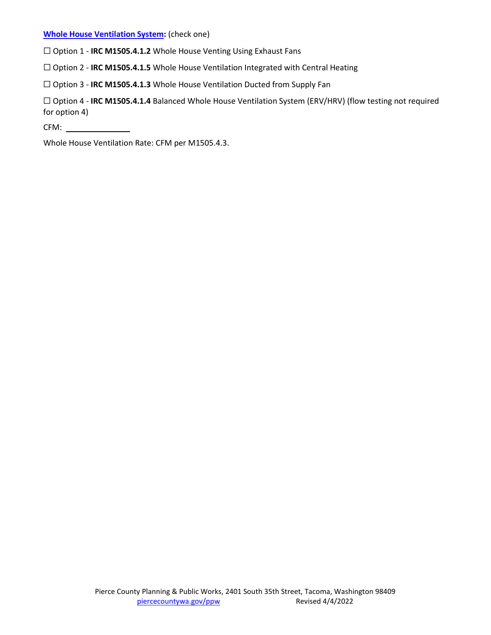### **[Whole House Ventilation System:](http://apps.leg.wa.gov/wac/default.aspx?cite=51-51-1507)** (check one)

☐ Option 1 - **IRC M1505.4.1.2** Whole House Venting Using Exhaust Fans

☐ Option 2 - **IRC M1505.4.1.5** Whole House Ventilation Integrated with Central Heating

☐ Option 3 - **IRC M1505.4.1.3** Whole House Ventilation Ducted from Supply Fan

☐ Option 4 - **IRC M1505.4.1.4** Balanced Whole House Ventilation System (ERV/HRV) (flow testing not required for option 4)

CFM:

Whole House Ventilation Rate: CFM per M1505.4.3.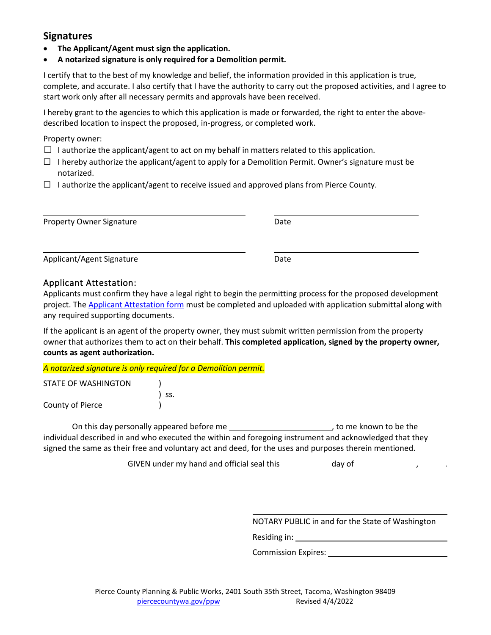## **Signatures**

- **The Applicant/Agent must sign the application.**
- **A notarized signature is only required for a Demolition permit.**

I certify that to the best of my knowledge and belief, the information provided in this application is true, complete, and accurate. I also certify that I have the authority to carry out the proposed activities, and I agree to start work only after all necessary permits and approvals have been received.

I hereby grant to the agencies to which this application is made or forwarded, the right to enter the abovedescribed location to inspect the proposed, in-progress, or completed work.

Property owner:

- $\Box$  I authorize the applicant/agent to act on my behalf in matters related to this application.
- $\Box$  I hereby authorize the applicant/agent to apply for a Demolition Permit. Owner's signature must be notarized.
- ☐ I authorize the applicant/agent to receive issued and approved plans from Pierce County.

| <b>Property Owner Signature</b> | Date |  |
|---------------------------------|------|--|
| Applicant/Agent Signature       | Date |  |

### Applicant Attestation:

Applicants must confirm they have a legal right to begin the permitting process for the proposed development project. The Applicant [Attestation](https://www.cognitoforms.com/PierceCountyPlanningPublicWorks/ApplicantAttestation?v2) form must be completed and uploaded with application submittal along with any required supporting documents.

If the applicant is an agent of the property owner, they must submit written permission from the property owner that authorizes them to act on their behalf. **This completed application, signed by the property owner, counts as agent authorization.**

*A notarized signature is only required for a Demolition permit.*

| STATE OF WASHINGTON |       |
|---------------------|-------|
|                     | ) SS. |
| County of Pierce    |       |

On this day personally appeared before me , to me known to be the individual described in and who executed the within and foregoing instrument and acknowledged that they signed the same as their free and voluntary act and deed, for the uses and purposes therein mentioned.

GIVEN under my hand and official seal this  $\qquad \qquad$  day of  $\qquad \qquad$ 

NOTARY PUBLIC in and for the State of Washington

Residing in: the state of the state of the state of the state of the state of the state of the state of the state of the state of the state of the state of the state of the state of the state of the state of the state of t

Commission Expires:

 $\overline{a}$